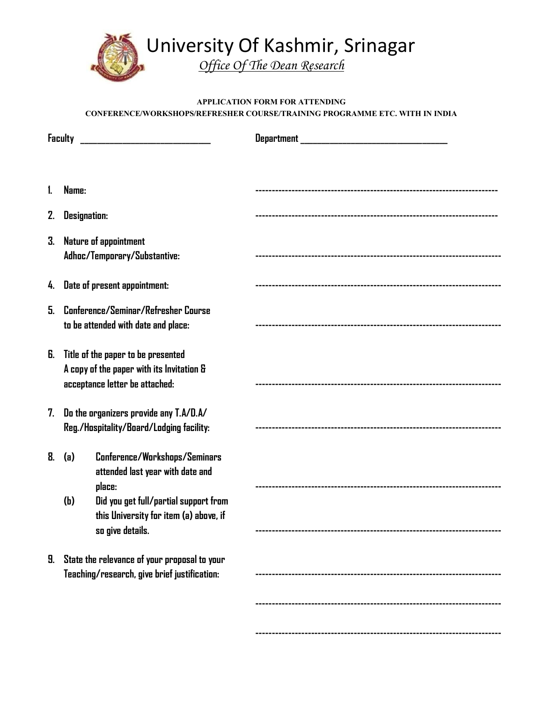

## **APPLICATION FORM FOR ATTENDING CONFERENCE/WORKSHOPS/REFRESHER COURSE/TRAINING PROGRAMME ETC. WITH IN INDIA**

| <b>Faculty</b> |                                                                                                                   |                                                                                                                      |  |
|----------------|-------------------------------------------------------------------------------------------------------------------|----------------------------------------------------------------------------------------------------------------------|--|
|                |                                                                                                                   |                                                                                                                      |  |
| 1.             | Name:                                                                                                             |                                                                                                                      |  |
| 2.             |                                                                                                                   | <b>Designation:</b>                                                                                                  |  |
| 3.             |                                                                                                                   | <b>Nature of appointment</b><br>Adhoc/Temporary/Substantive:                                                         |  |
|                | 4. Date of present appointment:                                                                                   |                                                                                                                      |  |
| 5.             | Conference/Seminar/Refresher Course<br>to be attended with date and place:                                        |                                                                                                                      |  |
| 6.             | Title of the paper to be presented<br>A copy of the paper with its Invitation &<br>acceptance letter be attached: |                                                                                                                      |  |
| 7.             | Do the organizers provide any T.A/D.A/<br>Reg./Hospitality/Board/Lodging facility:                                |                                                                                                                      |  |
| 8.             | (a)<br>(h)                                                                                                        | Conference/Workshops/Seminars<br>attended last year with date and<br>place:<br>Did you get full/partial support from |  |
|                |                                                                                                                   | this University for item (a) above, if<br>so give details.                                                           |  |
| 9.             | State the relevance of your proposal to your<br>Teaching/research, give brief justification:                      |                                                                                                                      |  |
|                |                                                                                                                   |                                                                                                                      |  |
|                |                                                                                                                   |                                                                                                                      |  |